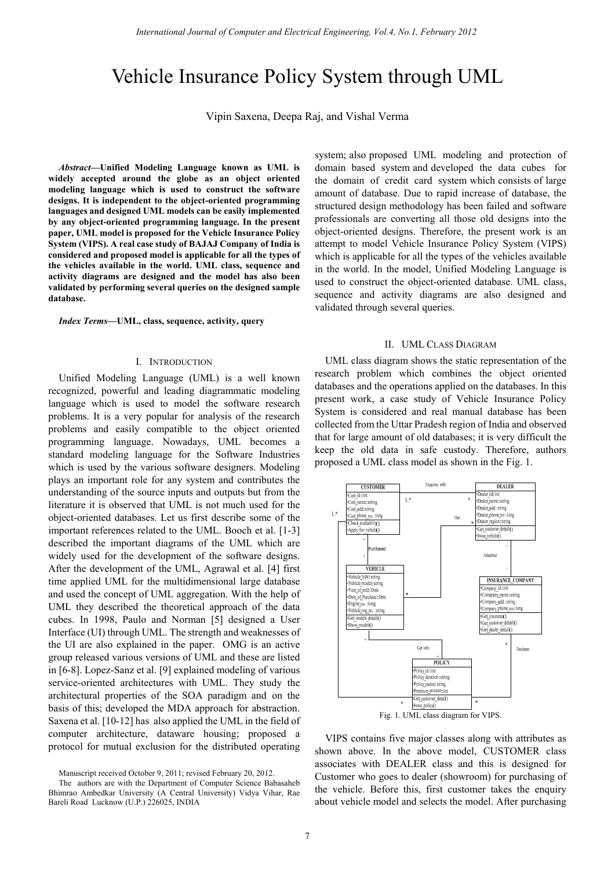# Vehicle Insurance Policy System through UML

Vipin Saxena, Deepa Raj, and Vishal Verma

*Abstract—***Unified Modeling Language known as UML is widely accepted around the globe as an object oriented modeling language which is used to construct the software designs. It is independent to the object-oriented programming languages and designed UML models can be easily implemented by any object-oriented programming language. In the present paper, UML model is proposed for the Vehicle Insurance Policy System (VIPS). A real case study of BAJAJ Company of India is considered and proposed model is applicable for all the types of the vehicles available in the world. UML class, sequence and activity diagrams are designed and the model has also been validated by performing several queries on the designed sample database.** 

*Index Terms—***UML, class, sequence, activity, query** 

## I. INTRODUCTION

Unified Modeling Language (UML) is a well known recognized, powerful and leading diagrammatic modeling language which is used to model the software research problems. It is a very popular for analysis of the research problems and easily compatible to the object oriented programming language. Nowadays, UML becomes a standard modeling language for the Software Industries which is used by the various software designers. Modeling plays an important role for any system and contributes the understanding of the source inputs and outputs but from the literature it is observed that UML is not much used for the object-oriented databases. Let us first describe some of the important references related to the UML. Booch et al. [1-3] described the important diagrams of the UML which are widely used for the development of the software designs. After the development of the UML, Agrawal et al. [4] first time applied UML for the multidimensional large database and used the concept of UML aggregation. With the help of UML they described the theoretical approach of the data cubes. In 1998, Paulo and Norman [5] designed a User Interface (UI) through UML. The strength and weaknesses of the UI are also explained in the paper. OMG is an active group released various versions of UML and these are listed in [6-8]. Lopez-Sanz et al. [9] explained modeling of various service-oriented architectures with UML. They study the architectural properties of the SOA paradigm and on the basis of this; developed the MDA approach for abstraction. Saxena et al. [10-12] has also applied the UML in the field of computer architecture, dataware housing; proposed a protocol for mutual exclusion for the distributed operating

Manuscript received October 9, 2011; revised February 20, 2012.

system; also proposed UML modeling and protection of domain based system and developed the data cubes for the domain of credit card system which consists of large amount of database. Due to rapid increase of database, the structured design methodology has been failed and software professionals are converting all those old designs into the object-oriented designs. Therefore, the present work is an attempt to model Vehicle Insurance Policy System (VIPS) which is applicable for all the types of the vehicles available in the world. In the model, Unified Modeling Language is used to construct the object-oriented database. UML class, sequence and activity diagrams are also designed and validated through several queries.

## II. UML CLASS DIAGRAM

UML class diagram shows the static representation of the research problem which combines the object oriented databases and the operations applied on the databases. In this present work, a case study of Vehicle Insurance Policy System is considered and real manual database has been collected from the Uttar Pradesh region of India and observed that for large amount of old databases; it is very difficult the keep the old data in safe custody. Therefore, authors proposed a UML class model as shown in the Fig. 1.



VIPS contains five major classes along with attributes as shown above. In the above model, CUSTOMER class associates with DEALER class and this is designed for Customer who goes to dealer (showroom) for purchasing of the vehicle. Before this, first customer takes the enquiry about vehicle model and selects the model. After purchasing

The authors are with the Department of Computer Science Babasaheb Bhimrao Ambedkar University (A Central University) Vidya Vihar, Rae Bareli Road Lucknow (U.P.) 226025, INDIA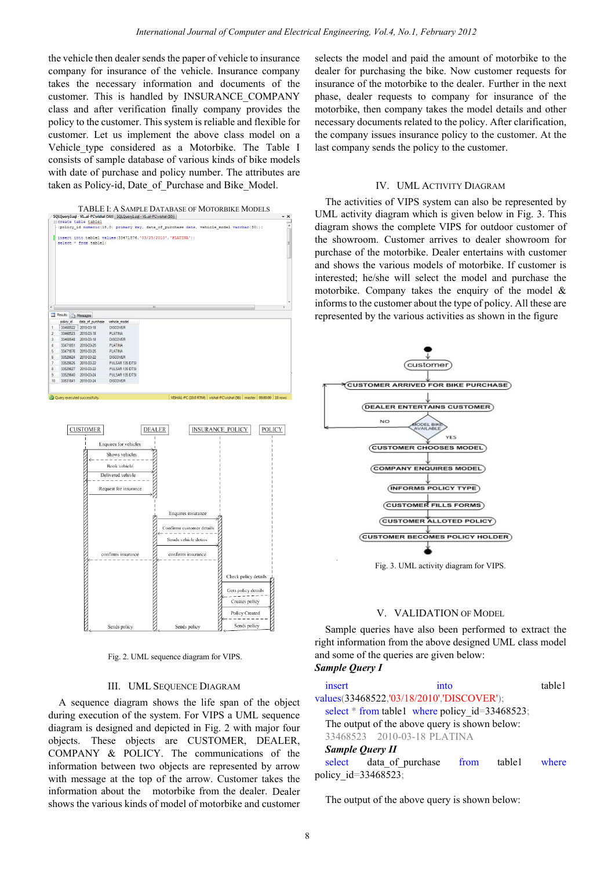the vehicle then dealer sends the paper of vehicle to insurance company for insurance of the vehicle. Insurance company takes the necessary information and documents of the customer. This is handled by INSURANCE\_COMPANY class and after verification finally company provides the policy to the customer. This system is reliable and flexible for customer. Let us implement the above class model on a Vehicle type considered as a Motorbike. The Table I consists of sample database of various kinds of bike models with date of purchase and policy number. The attributes are taken as Policy-id, Date of Purchase and Bike Model.





Fig. 2. UML sequence diagram for VIPS.

#### III. UML SEQUENCE DIAGRAM

A sequence diagram shows the life span of the object during execution of the system. For VIPS a UML sequence diagram is designed and depicted in Fig. 2 with major four objects. These objects are CUSTOMER, DEALER, COMPANY & POLICY. The communications of the information between two objects are represented by arrow with message at the top of the arrow. Customer takes the information about the motorbike from the dealer. Dealer shows the various kinds of model of motorbike and customer selects the model and paid the amount of motorbike to the dealer for purchasing the bike. Now customer requests for insurance of the motorbike to the dealer. Further in the next phase, dealer requests to company for insurance of the motorbike, then company takes the model details and other necessary documents related to the policy. After clarification, the company issues insurance policy to the customer. At the last company sends the policy to the customer.

# IV. UML ACTIVITY DIAGRAM

The activities of VIPS system can also be represented by UML activity diagram which is given below in Fig. 3. This diagram shows the complete VIPS for outdoor customer of the showroom. Customer arrives to dealer showroom for purchase of the motorbike. Dealer entertains with customer and shows the various models of motorbike. If customer is interested; he/she will select the model and purchase the motorbike. Company takes the enquiry of the model  $\&$ informs to the customer about the type of policy. All these are represented by the various activities as shown in the figure



# V. VALIDATION OF MODEL

Sample queries have also been performed to extract the right information from the above designed UML class model and some of the queries are given below: *Sample Query I* 

| insert<br>into                                 |                                           |      | table1 |       |
|------------------------------------------------|-------------------------------------------|------|--------|-------|
|                                                | values(33468522,'03/18/2010','DISCOVER'); |      |        |       |
| select * from table1 where policy id=33468523; |                                           |      |        |       |
| The output of the above query is shown below:  |                                           |      |        |       |
|                                                | 33468523 2010-03-18 PLATINA               |      |        |       |
| <b>Sample Query II</b>                         |                                           |      |        |       |
|                                                | select data of purchase                   | from | table1 | where |
| policy id=33468523;                            |                                           |      |        |       |

The output of the above query is shown below: